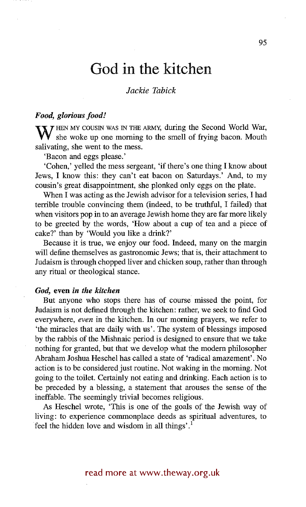# **God in the kitchen**

# *Jackie Tabick*

# *Food, glorious food!*

**W** HEN MY COUSIN WAS IN THE ARMY, during the Second World War, she woke up one morning to the smell of frying bacon. Mouth salivating, she went to the mess.

'Bacon and eggs please.'

'Cohen,' yelled the mess sergeant, 'if there's one thing I know about Jews, I know this: they can't eat bacon on Saturdays.' And, to my cousin's great disappointment, she plonked only eggs on the plate.

When I was acting as the Jewish advisor for a television series, I had terrible trouble convincing them (indeed, to be truthful, I failed) that when visitors pop in to an average Jewish home they are far more likely to be greeted by the words, 'How about a cup of tea and a piece of cake?' than by 'Would you like a drink?'

Because it is true, we enjoy our food. Indeed, many on the margin will define themselves as gastronomic Jews; that is, their attachment to Judaism is through chopped liver and chicken soup, rather than through any ritual or theological stance.

#### *God,* even *in the kitchen*

But anyone who stops there has of course missed the point, for Judaism is not defined through the kitchen: rather, we seek to find God everywhere, *even* in the kitchen. In our morning prayers, we refer to 'the miracles that are daily with us'. The system of blessings imposed by the rabbis of the Mishnaic period is designed to ensure that we take nothing for granted, but that we develop what the modern philosopher Abraham Joshua Heschel has called a state of 'radical amazement'. No action is to be considered just routine. Not waking in the morning. Not going to the toilet. Certainly not eating and drinking. Each action is to be preceded by a blessing, a statement that arouses the sense of the ineffable. The seemingly trivial becomes religious.

As Heschel wrote, 'This is one of the goals of the Jewish way of living: to experience commonplace deeds as spiritual adventures, to feel the hidden love and wisdom in all things'.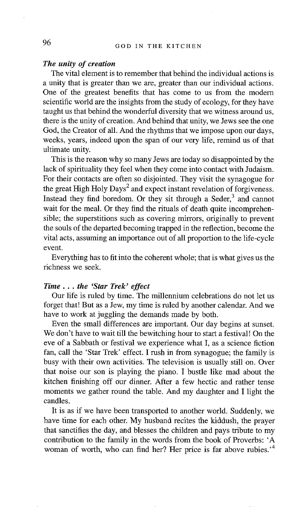# *The unity of creation*

The vital element is to remember that behind the individual actions is a unity that is greater than we are, greater than our individual actions. One of the greatest benefits that has come to us from the modern scientific world are the insights from the study of ecology, for they have taught us that behind the wonderful diversity that we witness around us, there is the unity of creation. And behind that unity, we Jews see the one God, the Creator of all. And the rhythms that we impose upon our days, weeks, years, indeed upon the span of our very life, remind us of that ultimate unity.

This is the reason why so many Jews are today so disappointed by the lack of spirituality they feel when they come into contact with Judaism. For their contacts are often so disjointed. They visit the synagogue for the great High Holy Days<sup>2</sup> and expect instant revelation of forgiveness. Instead they find boredom. Or they sit through a Seder,<sup>3</sup> and cannot wait for the meal. Or they find the rituals of death quite incomprehensible; the superstitions such as covering mirrors, originally to prevent the souls of the departed becoming trapped in the reflection, become the vital acts, assuming an importance out of all proportion to the life-cycle event.

Everything has to fit into the coherent whole; that is what gives us the richness we seek.

# *Time... the 'Star Trek' effect*

Our life is ruled by time. The millennium celebrations do not let us forget that! But as a Jew, my time is ruled by another calendar. And we have to work at juggling the demands made by both.

Even the small differences are important. Our day begins at sunset. We don't have to wait till the bewitching hour to start a festival! On the eve of a Sabbath or festival we experience what I, as a science fiction fan, call the 'Star Trek' effect. I rush in from synagogue; the family is busy with their own activities. The television is usually still on. Over that noise our son is playing the piano. I bustle like mad about the kitchen finishing off our dinner. After a few hectic and rather tense moments we gather round the table. And my daughter and I light the candles.

It is as if we have been transported to another word. Suddenly, we have time for each other. My husband recites the kiddush, the prayer that sanctifies the day, and blesses the children and pays tribute to my contribution to the family in the words from the book of Proverbs: 'A woman of worth, who can find her? Her price is far above rubies.<sup>4</sup>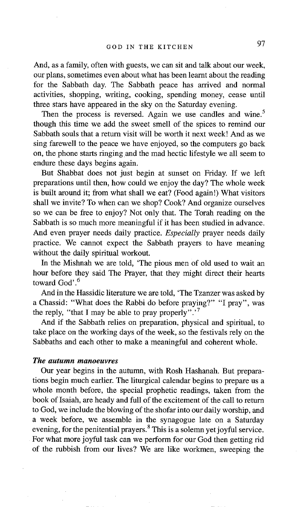And, as a family, often with guests, we can sit and talk about our week, our plans, sometimes even about what has been learnt about the reading for the Sabbath day. The Sabbath peace has arrived and normal activities, shopping, writing, cooking, spending money, cease until three stars have appeared in the sky on the Saturday evening.

Then the process is reversed. Again we use candles and wine.<sup>5</sup> though this time we add the sweet smell of the spices to remind our Sabbath souls that a return visit will be worth it next week! And as we sing farewell to the peace we have enjoyed, so the computers go back on, the phone starts ringing and the mad hectic lifestyle we all seem to endure these days begins again.

But Shabbat does not just begin at sunset on Friday. If we left preparations until then, how could we enjoy the day? The whole week is built around it; from what shall we eat? (Food again!) What visitors shall we invite? To when can we shop? Cook? And organize ourselves so we can be free to enjoy? Not only that. The Torah reading on the Sabbath is so much more meaningful if it has been studied in advance. And even prayer needs daily practice. *Especially* prayer needs daily practice. We cannot expect the Sabbath prayers to have meaning without the daily spiritual workout.

In the Mishnah we are told, 'The pious men of old used to wait an hour before they said The Prayer, that they might direct their hearts toward God'.<sup>6</sup>

And in the Hassidic literature we are told, 'The Tzanzer was asked by a Chassid: "What does the Rabbi do before praying?" "I pray", was the reply, "that I may be able to pray properly".<sup>7</sup>

And if the Sabbath relies on preparation, physical and spiritual, to take place on the working days of the week, so the festivals rely on the Sabbaths and each other to make a meaningful and coherent whole.

### *The autumn manoeuvres*

Our year begins in the autumn, with Rosh Hashanah. But preparations begin much earlier. The liturgical calendar begins to prepare us a whole month before, the special prophetic readings, taken from the book of Isaiah, are heady and full of the excitement of the call to return to God, we include the blowing of the shofar into our daily worship, and a week before, we assemble in the synagogue late on a Saturday evening, for the penitential prayers. $8$  This is a solemn yet joyful service. For what more joyful task can we perform for our God then getting rid of the rubbish from our lives? We are like workmen, sweeping the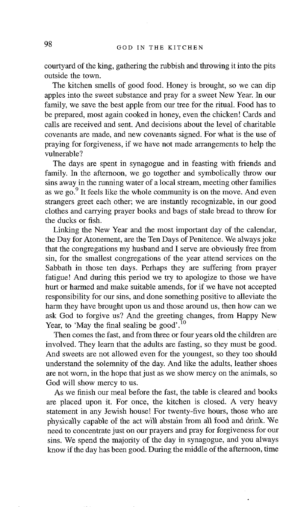courtyard of the king, gathering the rubbish and throwing it into the pits outside the town.

The kitchen smells of good food. Honey is brought, so we can dip apples into the sweet substance and pray for a sweet New Year. In our family, we save the best apple from our tree for the ritual. Food has to be prepared, most again cooked in honey, even the chicken! Cards and calls are received and sent. And decisions about the level of charitable covenants are made, and new covenants signed. For what is the use of praying for forgiveness, if we have not made arrangements to help the vulnerable?

The days are spent in synagogue and in feasting with friends and family. In the afternoon, we go together and symbolically throw our sins away in the running water of a local stream, meeting other families as we go.  $9^9$  It feels like the whole community is on the move. And even strangers greet each other; we are instantly recognizable, in our good clothes and carrying prayer books and bags of stale bread to throw for the ducks or fish.

Linking the New Year and the most important day of the calendar, the Day for Atonement, are the Ten Days of Penitence. We always joke that the congregations my husband and I serve are obviously free from sin, for the smallest congregations of the year attend services on the Sabbath in those ten days. Perhaps they are suffering from prayer fatigue! And during this period we try to apologize to those we have hurt or harmed and make suitable amends, for if we have not accepted responsibility for our sins, and done something positive to alleviate the harm they have brought upon us and those around us, then how can we ask God to forgive us? And the greeting changes, from Happy New Year, to 'May the final sealing be good'.<sup>10</sup>

Then comes the fast, and from three or four years old the children are involved. They learn that the adults are fasting, so they must be good. And sweets are not allowed even for the youngest, so they too should understand the solemnity of the day. And like the adults, leather shoes are not worn, in the hope that just as we show mercy on the animals, so God will show mercy to us.

As we finish our meal before the fast, the table is cleared and books are placed upon it. For once, the kitchen is closed. A very heavy statement in any Jewish house! For twenty-five hours, those who are physically capable of the act will abstain from all food and drink. We need to concentrate just on our prayers and pray for forgiveness for our sins. We spend the majority of the day in synagogue, and you always know if the day has been good. During the middle of the afternoon, time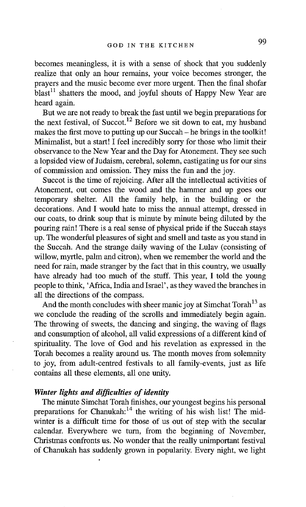becomes meaningless, it is with a sense of shock that you suddenly realize that only an hour remains, your voice becomes stronger, the prayers and the music become ever more urgent. Then the final shofar  $b$ last<sup>11</sup> shatters the mood, and joyful shouts of Happy New Year are heard again.

But we are not ready to break the fast until we begin preparations for the next festival, of Succot.<sup>12</sup> Before we sit down to eat, my husband makes the first move to putting up our Succah - he brings in the toolkit! Minimalist, but a start! I feel incredibly sorry for those who limit their observance to the New Year and the Day for Atonement. They see such a lopsided view of Judaism, cerebral, solemn, castigating us for our sins of commission and omission. They miss the fun and the joy.

Succot is the time of rejoicing. After all the intellectual activities of Atonement, out comes the wood and the hammer and up goes our temporary shelter. All the family help, in the building or the decorations. And I would hate to miss the annual attempt, dressed in our coats, to drink soup that is minute by minute being diluted by the pouring rain! There is a real sense of physical pride if the Succah stays up. The wonderful pleasures of sight and smell and taste as you stand in the Succah. And the strange daily waving of the Lulav (consisting of willow, myrtle, palm and citron), when we remember the world and the need for rain, made stranger by the fact that in this country, we usually have already had too much of the stuff. This year, I told the young people to think, 'Africa, India and Israel', as they waved the branches in all the directions of the compass.

And the month concludes with sheer manic joy at Simchat Torah<sup>13</sup> as we conclude the reading of the scrolls and immediately begin again. The throwing of sweets, the dancing and singing, the waving of flags and consumption of alcohol, all valid expressions of a different kind of spirituality. The love of God and his revelation as expressed in the Torah becomes a reality around us. The month moves from solemnity to joy, from adult-centred festivals to all family-events, just as life contains all these elements, all one unity.

# *Winter lights and difficulties of identity*

The minute Simchat Torah finishes, our youngest begins his personal preparations for Chanukah:<sup>14</sup> the writing of his wish list! The midwinter is a difficult time for those of us out of step with the secular calendar. Everywhere we turn, from the beginning of November, Christmas confronts us. No wonder that the really unimportant festival of Chanukah has suddenly grown in popularity. Every night, we light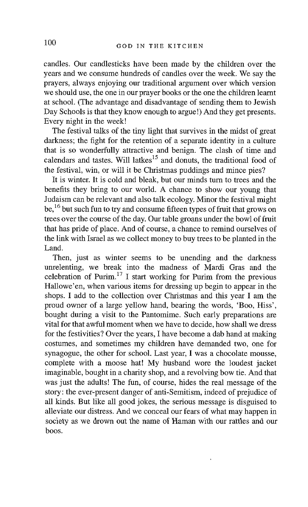candles. Our candlesticks have been made by the children over the years and we consume hundreds of candles over the week. We say the prayers, always enjoying our traditional argument over which version we should use, the one in our prayer books or the one the children learnt at school. (The advantage and disadvantage of sending them to Jewish Day Schools is that they know enough to argue!) And they get presents. Every night in the week!

The festival talks of the tiny light that survives in the midst of great darkness; the fight for the retention of a separate identity in a culture that is so wonderfully attractive and benign. The clash of time and calendars and tastes. Will latkes<sup>15</sup> and donuts, the traditional food of the festival, win, or will it be Christmas puddings and mince pies?

It is winter. It is cold and bleak, but our minds turn to trees and the benefits they bring to our world. A chance to show our young that Judaism can be relevant and also talk ecology. Minor the festival might be, <sup>16</sup> but such fun to try and consume fifteen types of fruit that grows on trees over the course of the day. Our table groans under the bowl of fruit that has pride of place. And of course, a chance to remind ourselves of the link with Israel as we collect money to buy trees to be planted in the Land.

Then, just as winter seems to be unending and the darkness unrelenting, we break into the madness of Mardi Gras and the celebration of Purim.<sup>17</sup> I start working for Purim from the previous Hallowe'en, when various items for dressing up begin to appear in the shops. I add to the collection over Christmas and this year I am the proud owner of a large yellow hand, bearing the words, 'Boo, Hiss', bought during a visit to the Pantomime. Such early preparations are vital for that awful moment when we have to decide, how shall we dress for the festivities? Over the years, I have become a dab hand at making costumes, and sometimes my children have demanded two, one for synagogue, the other for school. Last year, I was a chocolate mousse, complete with a moose hat! My husband wore the loudest jacket imaginable, bought in a charity shop, and a revolving bow tie. And that was just the adults! The fun, of course, hides the real message of the story: the ever-present danger of anti-Semitism, indeed of prejudice of all kinds. But like all good jokes, the serious message is disguised to alleviate our distress. And we conceal our fears of what may happen in society as we drown out the name of Haman with our rattles and our boos.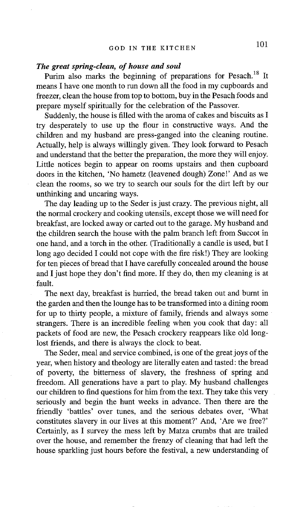# *The great spring-clean, of house and soul*

Purim also marks the beginning of preparations for Pesach.<sup>18</sup> It means I have one month to run down all the food in my cupboards and freezer, clean the house from top to bottom, buy in the Pesach foods and prepare myself spiritually for the celebration of the Passover.

Suddenly, the house is filled with the aroma of cakes and biscuits as I try desperately to use up the flour in constructive ways. And the children and my husband are press-ganged into the cleaning routine. Actually, help is always willingly given. They look forward to Pesach and understand that the better the preparation, the more they will enjoy. Little notices begin to appear on rooms upstairs and then cupboard doors in the kitchen, 'No hametz (leavened dough) Zone!' And as we clean the rooms, so we try to search our souls for the dirt left by our unthinking and uncaring ways.

The day leading up to the Seder is just crazy. The previous night, all the normal crockery and cooking utensils, except those we will need for breakfast, are locked away or carted out to the garage. My husband and the children search the house with the palm branch left from Succor in one hand, and a torch in the other. (Traditionally a candle is used, but I long ago decided I could not cope with the fire risk!) They are looking for ten pieces of bread that I have carefully concealed around the house and I just hope they don't find more. If they do, then my cleaning is at fault.

The next day, breakfast is hurried, the bread taken out and burnt in the garden and then the lounge has to be transformed into a dining room for up to thirty people, a mixture of family, friends and always some strangers. There is an incredible feeling when you cook that day: all packets of food are new, the Pesach crockery reappears like old longlost friends, and there is always the clock to beat.

The Seder, meal and service combined, is one of the great joys of the year, when history and theology are literally eaten and tasted: the bread of poverty, the bitterness of slavery, the freshness of spring and freedom. All generations have a part to play. My husband challenges our children to find questions for him from the text. They take this very seriously and begin the hunt weeks in advance. Then there are the friendly 'battles' over tunes, and the serious debates over, 'What constitutes slavery in our lives at this moment?' And, 'Are we free?' Certainly, as I survey the mess left by Matza crumbs that are trailed over the house, and remember the frenzy of cleaning that had left the house sparkling just hours before the festival, a new understanding of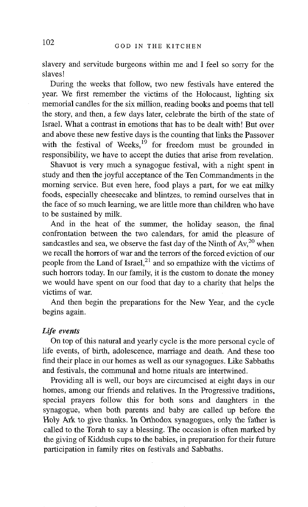slavery and servitude burgeons within me and I feel so sorry for the slaves!

During the weeks that follow, two new festivals have entered the year. We first remember the victims of the Holocaust, lighting six memorial candles for the six million, reading books and poems that tell the story, and then, a few days later, celebrate the birth of the state of Israel. What a contrast in emotions that has to be dealt with! But over and above these new festive days is the counting that links the Passover with the festival of Weeks,<sup>19</sup> for freedom must be grounded in responsibility, we have to accept the duties that arise from revelation.

Shavuot is very much a synagogue festival, with a night spent in study and then the joyful acceptance of the Ten Commandments in the morning service. But even here, food plays a part, for we eat milky foods, especially cheesecake and blintzes, to remind ourselves that in the face of so much learning, we are little more than children who have to be sustained by milk.

And in the heat of the summer, the holiday season, the final confrontation between the two calendars, for amid the pleasure of sandcastles and sea, we observe the fast day of the Ninth of  $Av<sub>1</sub><sup>20</sup>$  when we recall the horrors of war and the terrors of the forced eviction of our people from the Land of Israel, $^{21}$  and so empathize with the victims of such horrors today. In our family, it is the custom to donate the money we would have spent on our food that day to a charity that helps the victims of war.

And then begin the preparations for the New Year, and the cycle begins again.

### *Life events*

On top of this natural and yearly cycle is the more personal cycle of life events, of birth, adolescence, marriage and death. And these too find their place in our homes as well as our synagogues. Like Sabbaths and festivals, the communal and home rituals are intertwined.

Providing all is well, our boys are circumcised at eight days in our homes, among our friends and relatives. In the Progressive traditions, special prayers follow this for both sons and daughters in the synagogue, when both parents and baby are called up before the Holy Ark to give thanks. In Orthodox synagogues, only the father is called to the Torah to say a blessing. The occasion is often marked by the giving of Kiddush cups to the babies, in preparation for their future participation in family rites on festivals and Sabbaths.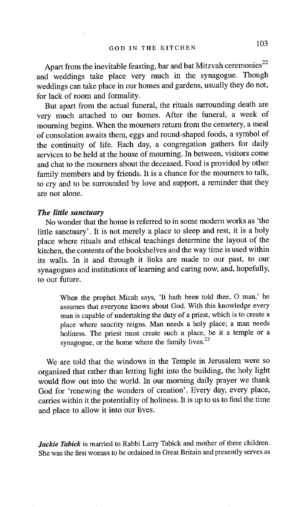Apart from the inevitable feasting, bar and bat Mitzvah ceremonies<sup>22</sup> and weddings take place very much in the synagogue. Though weddings can take place in our homes and gardens, usually they do not, for lack of room and formality.

But apart from the actual funeral, the rituals surrounding death are very much attached to our homes. After the funeral, a week of mourning begins. When the moumers return from the cemetery, a meal of consolation awaits them, eggs and round-shaped foods, a symbol of the continuity of life. Each day, a congregation gathers for daily services to be held at the house of mourning. In between, visitors come and chat to the mourners about the deceased. Food is provided by other family members and by friends. It is a chance for the mourners to talk, to cry and to be surrounded by love and support, a reminder that they are not alone.

# *The little sanctuary*

No wonder that the home is referred to in some modem works as 'the little sanctuary'. It is not merely a place to sleep and rest, it is a holy place where rituals and ethical teachings determine the layout of the kitchen, the contents of the bookshelves and the way time is used within its walls. In it and through it links are made to our past, to our synagogues and institutions of learning and caring now, and, hopefully, to our future.

When the prophet Micah says, 'It hath been told thee, O man,' he assumes that everyone knows about God. With this knowledge every man is capable of undertaking the duty of a priest, which is to create a place where sanctity reigns. Man needs a holy place; a man needs holiness. The priest must create such a place, be it a temple or a synagogue, or the home where the family lives.<sup>23</sup>

We are told that the windows in the Temple in Jerusalem were so organized that rather than letting light into the building, the holy light would flow out into the world. In our morning daily prayer we thank God for 'renewing the wonders of creation'. Every day, every place, carries within it the potentiality of holiness. It is up to us to find the time and place to allow it into our lives.

*Jackie Tabick* is married to Rabbi Larry Tabick and mother of three children. She was the first woman to be ordained in Great Britain and presently serves as